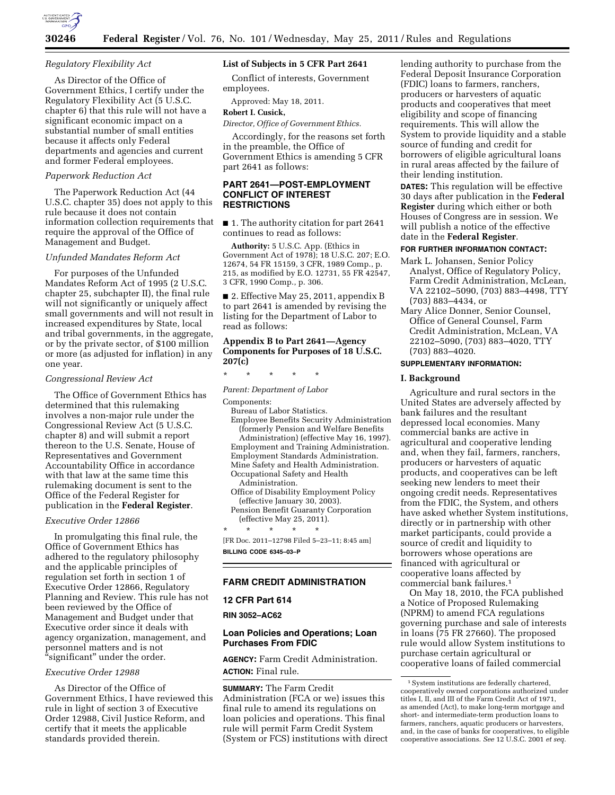

# **30246 Federal Register** / Vol. 76, No. 101 / Wednesday, May 25, 2011 / Rules and Regulations

### *Regulatory Flexibility Act*

As Director of the Office of Government Ethics, I certify under the Regulatory Flexibility Act (5 U.S.C. chapter 6) that this rule will not have a significant economic impact on a substantial number of small entities because it affects only Federal departments and agencies and current and former Federal employees.

### *Paperwork Reduction Act*

The Paperwork Reduction Act (44 U.S.C. chapter 35) does not apply to this rule because it does not contain information collection requirements that require the approval of the Office of Management and Budget.

#### *Unfunded Mandates Reform Act*

For purposes of the Unfunded Mandates Reform Act of 1995 (2 U.S.C. chapter 25, subchapter II), the final rule will not significantly or uniquely affect small governments and will not result in increased expenditures by State, local and tribal governments, in the aggregate, or by the private sector, of \$100 million or more (as adjusted for inflation) in any one year.

#### *Congressional Review Act*

The Office of Government Ethics has determined that this rulemaking involves a non-major rule under the Congressional Review Act (5 U.S.C. chapter 8) and will submit a report thereon to the U.S. Senate, House of Representatives and Government Accountability Office in accordance with that law at the same time this rulemaking document is sent to the Office of the Federal Register for publication in the **Federal Register**.

#### *Executive Order 12866*

In promulgating this final rule, the Office of Government Ethics has adhered to the regulatory philosophy and the applicable principles of regulation set forth in section 1 of Executive Order 12866, Regulatory Planning and Review. This rule has not been reviewed by the Office of Management and Budget under that Executive order since it deals with agency organization, management, and personnel matters and is not "significant" under the order.

#### *Executive Order 12988*

As Director of the Office of Government Ethics, I have reviewed this rule in light of section 3 of Executive Order 12988, Civil Justice Reform, and certify that it meets the applicable standards provided therein.

## **List of Subjects in 5 CFR Part 2641**

Conflict of interests, Government employees.

Approved: May 18, 2011.

## **Robert I. Cusick,**

*Director, Office of Government Ethics.*  Accordingly, for the reasons set forth in the preamble, the Office of Government Ethics is amending 5 CFR part 2641 as follows:

### **PART 2641—POST-EMPLOYMENT CONFLICT OF INTEREST RESTRICTIONS**

■ 1. The authority citation for part 2641 continues to read as follows:

**Authority:** 5 U.S.C. App. (Ethics in Government Act of 1978); 18 U.S.C. 207; E.O. 12674, 54 FR 15159, 3 CFR, 1989 Comp., p. 215, as modified by E.O. 12731, 55 FR 42547, 3 CFR, 1990 Comp., p. 306.

■ 2. Effective May 25, 2011, appendix B to part 2641 is amended by revising the listing for the Department of Labor to read as follows:

## **Appendix B to Part 2641—Agency Components for Purposes of 18 U.S.C. 207(c)**

\* \* \* \* \*

*Parent: Department of Labor* 

Components:

- Bureau of Labor Statistics. Employee Benefits Security Administration (formerly Pension and Welfare Benefits
- Administration) (effective May 16, 1997). Employment and Training Administration. Employment Standards Administration. Mine Safety and Health Administration. Occupational Safety and Health Administration.
- Office of Disability Employment Policy (effective January 30, 2003). Pension Benefit Guaranty Corporation
- (effective May 25, 2011).

\* \* \* \* \* [FR Doc. 2011–12798 Filed 5–23–11; 8:45 am] **BILLING CODE 6345–03–P** 

## **FARM CREDIT ADMINISTRATION**

#### **12 CFR Part 614**

**RIN 3052–AC62** 

## **Loan Policies and Operations; Loan Purchases From FDIC**

**AGENCY:** Farm Credit Administration. **ACTION:** Final rule.

**SUMMARY:** The Farm Credit Administration (FCA or we) issues this final rule to amend its regulations on loan policies and operations. This final rule will permit Farm Credit System (System or FCS) institutions with direct

lending authority to purchase from the Federal Deposit Insurance Corporation (FDIC) loans to farmers, ranchers, producers or harvesters of aquatic products and cooperatives that meet eligibility and scope of financing requirements. This will allow the System to provide liquidity and a stable source of funding and credit for borrowers of eligible agricultural loans in rural areas affected by the failure of their lending institution.

**DATES:** This regulation will be effective 30 days after publication in the **Federal Register** during which either or both Houses of Congress are in session. We will publish a notice of the effective date in the **Federal Register**.

### **FOR FURTHER INFORMATION CONTACT:**

- Mark L. Johansen, Senior Policy Analyst, Office of Regulatory Policy, Farm Credit Administration, McLean, VA 22102–5090, (703) 883–4498, TTY (703) 883–4434, or
- Mary Alice Donner, Senior Counsel, Office of General Counsel, Farm Credit Administration, McLean, VA 22102–5090, (703) 883–4020, TTY (703) 883–4020.

### **SUPPLEMENTARY INFORMATION:**

#### **I. Background**

Agriculture and rural sectors in the United States are adversely affected by bank failures and the resultant depressed local economies. Many commercial banks are active in agricultural and cooperative lending and, when they fail, farmers, ranchers, producers or harvesters of aquatic products, and cooperatives can be left seeking new lenders to meet their ongoing credit needs. Representatives from the FDIC, the System, and others have asked whether System institutions, directly or in partnership with other market participants, could provide a source of credit and liquidity to borrowers whose operations are financed with agricultural or cooperative loans affected by commercial bank failures.1

On May 18, 2010, the FCA published a Notice of Proposed Rulemaking (NPRM) to amend FCA regulations governing purchase and sale of interests in loans (75 FR 27660). The proposed rule would allow System institutions to purchase certain agricultural or cooperative loans of failed commercial

<sup>&</sup>lt;sup>1</sup> System institutions are federally chartered, cooperatively owned corporations authorized under titles I, II, and III of the Farm Credit Act of 1971, as amended (Act), to make long-term mortgage and short- and intermediate-term production loans to farmers, ranchers, aquatic producers or harvesters, and, in the case of banks for cooperatives, to eligible cooperative associations. *See* 12 U.S.C. 2001 *et seq.*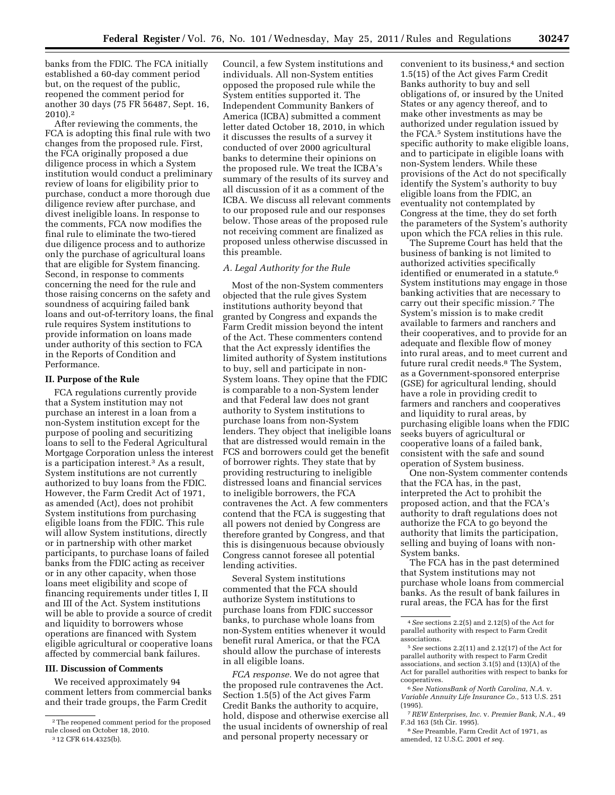banks from the FDIC. The FCA initially established a 60-day comment period but, on the request of the public, reopened the comment period for another 30 days (75 FR 56487, Sept. 16, 2010).2

After reviewing the comments, the FCA is adopting this final rule with two changes from the proposed rule. First, the FCA originally proposed a due diligence process in which a System institution would conduct a preliminary review of loans for eligibility prior to purchase, conduct a more thorough due diligence review after purchase, and divest ineligible loans. In response to the comments, FCA now modifies the final rule to eliminate the two-tiered due diligence process and to authorize only the purchase of agricultural loans that are eligible for System financing. Second, in response to comments concerning the need for the rule and those raising concerns on the safety and soundness of acquiring failed bank loans and out-of-territory loans, the final rule requires System institutions to provide information on loans made under authority of this section to FCA in the Reports of Condition and Performance.

### **II. Purpose of the Rule**

FCA regulations currently provide that a System institution may not purchase an interest in a loan from a non-System institution except for the purpose of pooling and securitizing loans to sell to the Federal Agricultural Mortgage Corporation unless the interest is a participation interest.3 As a result, System institutions are not currently authorized to buy loans from the FDIC. However, the Farm Credit Act of 1971, as amended (Act), does not prohibit System institutions from purchasing eligible loans from the FDIC. This rule will allow System institutions, directly or in partnership with other market participants, to purchase loans of failed banks from the FDIC acting as receiver or in any other capacity, when those loans meet eligibility and scope of financing requirements under titles I, II and III of the Act. System institutions will be able to provide a source of credit and liquidity to borrowers whose operations are financed with System eligible agricultural or cooperative loans affected by commercial bank failures.

### **III. Discussion of Comments**

We received approximately 94 comment letters from commercial banks and their trade groups, the Farm Credit

Council, a few System institutions and individuals. All non-System entities opposed the proposed rule while the System entities supported it. The Independent Community Bankers of America (ICBA) submitted a comment letter dated October 18, 2010, in which it discusses the results of a survey it conducted of over 2000 agricultural banks to determine their opinions on the proposed rule. We treat the ICBA's summary of the results of its survey and all discussion of it as a comment of the ICBA. We discuss all relevant comments to our proposed rule and our responses below. Those areas of the proposed rule not receiving comment are finalized as proposed unless otherwise discussed in this preamble.

### *A. Legal Authority for the Rule*

Most of the non-System commenters objected that the rule gives System institutions authority beyond that granted by Congress and expands the Farm Credit mission beyond the intent of the Act. These commenters contend that the Act expressly identifies the limited authority of System institutions to buy, sell and participate in non-System loans. They opine that the FDIC is comparable to a non-System lender and that Federal law does not grant authority to System institutions to purchase loans from non-System lenders. They object that ineligible loans that are distressed would remain in the FCS and borrowers could get the benefit of borrower rights. They state that by providing restructuring to ineligible distressed loans and financial services to ineligible borrowers, the FCA contravenes the Act. A few commenters contend that the FCA is suggesting that all powers not denied by Congress are therefore granted by Congress, and that this is disingenuous because obviously Congress cannot foresee all potential lending activities.

Several System institutions commented that the FCA should authorize System institutions to purchase loans from FDIC successor banks, to purchase whole loans from non-System entities whenever it would benefit rural America, or that the FCA should allow the purchase of interests in all eligible loans.

*FCA response.* We do not agree that the proposed rule contravenes the Act. Section 1.5(5) of the Act gives Farm Credit Banks the authority to acquire, hold, dispose and otherwise exercise all the usual incidents of ownership of real and personal property necessary or

convenient to its business,<sup>4</sup> and section 1.5(15) of the Act gives Farm Credit Banks authority to buy and sell obligations of, or insured by the United States or any agency thereof, and to make other investments as may be authorized under regulation issued by the FCA.5 System institutions have the specific authority to make eligible loans, and to participate in eligible loans with non-System lenders. While these provisions of the Act do not specifically identify the System's authority to buy eligible loans from the FDIC, an eventuality not contemplated by Congress at the time, they do set forth the parameters of the System's authority upon which the FCA relies in this rule.

The Supreme Court has held that the business of banking is not limited to authorized activities specifically identified or enumerated in a statute.<sup>6</sup> System institutions may engage in those banking activities that are necessary to carry out their specific mission.7 The System's mission is to make credit available to farmers and ranchers and their cooperatives, and to provide for an adequate and flexible flow of money into rural areas, and to meet current and future rural credit needs.8 The System, as a Government-sponsored enterprise (GSE) for agricultural lending, should have a role in providing credit to farmers and ranchers and cooperatives and liquidity to rural areas, by purchasing eligible loans when the FDIC seeks buyers of agricultural or cooperative loans of a failed bank, consistent with the safe and sound operation of System business.

One non-System commenter contends that the FCA has, in the past, interpreted the Act to prohibit the proposed action, and that the FCA's authority to draft regulations does not authorize the FCA to go beyond the authority that limits the participation, selling and buying of loans with non-System banks.

The FCA has in the past determined that System institutions may not purchase whole loans from commercial banks. As the result of bank failures in rural areas, the FCA has for the first

<sup>2</sup>The reopened comment period for the proposed rule closed on October 18, 2010. 3 12 CFR 614.4325(b).

<sup>4</sup>*See* sections 2.2(5) and 2.12(5) of the Act for parallel authority with respect to Farm Credit associations.

<sup>5</sup>*See* sections 2.2(11) and 2.12(17) of the Act for parallel authority with respect to Farm Credit associations, and section 3.1(5) and (13)(A) of the Act for parallel authorities with respect to banks for cooperatives.

<sup>6</sup>*See NationsBank of North Carolina, N.A.* v. *Variable Annuity Life Insurance Co.,* 513 U.S. 251 (1995).

<sup>7</sup>*REW Enterprises, Inc.* v. *Premier Bank, N.A.,* 49 F.3d 163 (5th Cir. 1995).

<sup>8</sup>*See* Preamble, Farm Credit Act of 1971, as amended, 12 U.S.C. 2001 *et seq.*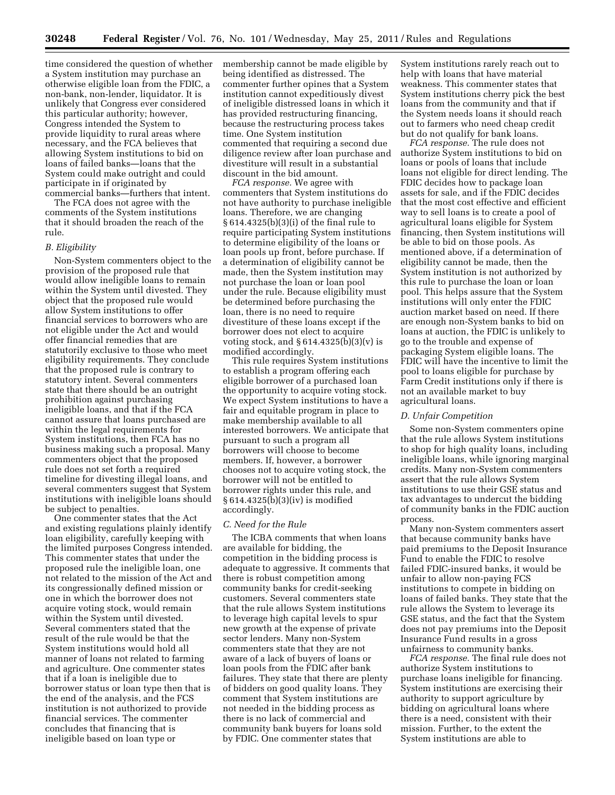time considered the question of whether a System institution may purchase an otherwise eligible loan from the FDIC, a non-bank, non-lender, liquidator. It is unlikely that Congress ever considered this particular authority; however, Congress intended the System to provide liquidity to rural areas where necessary, and the FCA believes that allowing System institutions to bid on loans of failed banks—loans that the System could make outright and could participate in if originated by commercial banks—furthers that intent.

The FCA does not agree with the comments of the System institutions that it should broaden the reach of the rule.

#### *B. Eligibility*

Non-System commenters object to the provision of the proposed rule that would allow ineligible loans to remain within the System until divested. They object that the proposed rule would allow System institutions to offer financial services to borrowers who are not eligible under the Act and would offer financial remedies that are statutorily exclusive to those who meet eligibility requirements. They conclude that the proposed rule is contrary to statutory intent. Several commenters state that there should be an outright prohibition against purchasing ineligible loans, and that if the FCA cannot assure that loans purchased are within the legal requirements for System institutions, then FCA has no business making such a proposal. Many commenters object that the proposed rule does not set forth a required timeline for divesting illegal loans, and several commenters suggest that System institutions with ineligible loans should be subject to penalties.

One commenter states that the Act and existing regulations plainly identify loan eligibility, carefully keeping with the limited purposes Congress intended. This commenter states that under the proposed rule the ineligible loan, one not related to the mission of the Act and its congressionally defined mission or one in which the borrower does not acquire voting stock, would remain within the System until divested. Several commenters stated that the result of the rule would be that the System institutions would hold all manner of loans not related to farming and agriculture. One commenter states that if a loan is ineligible due to borrower status or loan type then that is the end of the analysis, and the FCS institution is not authorized to provide financial services. The commenter concludes that financing that is ineligible based on loan type or

membership cannot be made eligible by being identified as distressed. The commenter further opines that a System institution cannot expeditiously divest of ineligible distressed loans in which it has provided restructuring financing, because the restructuring process takes time. One System institution commented that requiring a second due diligence review after loan purchase and divestiture will result in a substantial discount in the bid amount.

*FCA response.* We agree with commenters that System institutions do not have authority to purchase ineligible loans. Therefore, we are changing § 614.4325(b)(3)(i) of the final rule to require participating System institutions to determine eligibility of the loans or loan pools up front, before purchase. If a determination of eligibility cannot be made, then the System institution may not purchase the loan or loan pool under the rule. Because eligibility must be determined before purchasing the loan, there is no need to require divestiture of these loans except if the borrower does not elect to acquire voting stock, and  $§ 614.4325(b)(3)(v)$  is modified accordingly.

This rule requires System institutions to establish a program offering each eligible borrower of a purchased loan the opportunity to acquire voting stock. We expect System institutions to have a fair and equitable program in place to make membership available to all interested borrowers. We anticipate that pursuant to such a program all borrowers will choose to become members. If, however, a borrower chooses not to acquire voting stock, the borrower will not be entitled to borrower rights under this rule, and § 614.4325(b)(3)(iv) is modified accordingly.

#### *C. Need for the Rule*

The ICBA comments that when loans are available for bidding, the competition in the bidding process is adequate to aggressive. It comments that there is robust competition among community banks for credit-seeking customers. Several commenters state that the rule allows System institutions to leverage high capital levels to spur new growth at the expense of private sector lenders. Many non-System commenters state that they are not aware of a lack of buyers of loans or loan pools from the FDIC after bank failures. They state that there are plenty of bidders on good quality loans. They comment that System institutions are not needed in the bidding process as there is no lack of commercial and community bank buyers for loans sold by FDIC. One commenter states that

System institutions rarely reach out to help with loans that have material weakness. This commenter states that System institutions cherry pick the best loans from the community and that if the System needs loans it should reach out to farmers who need cheap credit but do not qualify for bank loans.

*FCA response.* The rule does not authorize System institutions to bid on loans or pools of loans that include loans not eligible for direct lending. The FDIC decides how to package loan assets for sale, and if the FDIC decides that the most cost effective and efficient way to sell loans is to create a pool of agricultural loans eligible for System financing, then System institutions will be able to bid on those pools. As mentioned above, if a determination of eligibility cannot be made, then the System institution is not authorized by this rule to purchase the loan or loan pool. This helps assure that the System institutions will only enter the FDIC auction market based on need. If there are enough non-System banks to bid on loans at auction, the FDIC is unlikely to go to the trouble and expense of packaging System eligible loans. The FDIC will have the incentive to limit the pool to loans eligible for purchase by Farm Credit institutions only if there is not an available market to buy agricultural loans.

#### *D. Unfair Competition*

Some non-System commenters opine that the rule allows System institutions to shop for high quality loans, including ineligible loans, while ignoring marginal credits. Many non-System commenters assert that the rule allows System institutions to use their GSE status and tax advantages to undercut the bidding of community banks in the FDIC auction process.

Many non-System commenters assert that because community banks have paid premiums to the Deposit Insurance Fund to enable the FDIC to resolve failed FDIC-insured banks, it would be unfair to allow non-paying FCS institutions to compete in bidding on loans of failed banks. They state that the rule allows the System to leverage its GSE status, and the fact that the System does not pay premiums into the Deposit Insurance Fund results in a gross unfairness to community banks.

*FCA response.* The final rule does not authorize System institutions to purchase loans ineligible for financing. System institutions are exercising their authority to support agriculture by bidding on agricultural loans where there is a need, consistent with their mission. Further, to the extent the System institutions are able to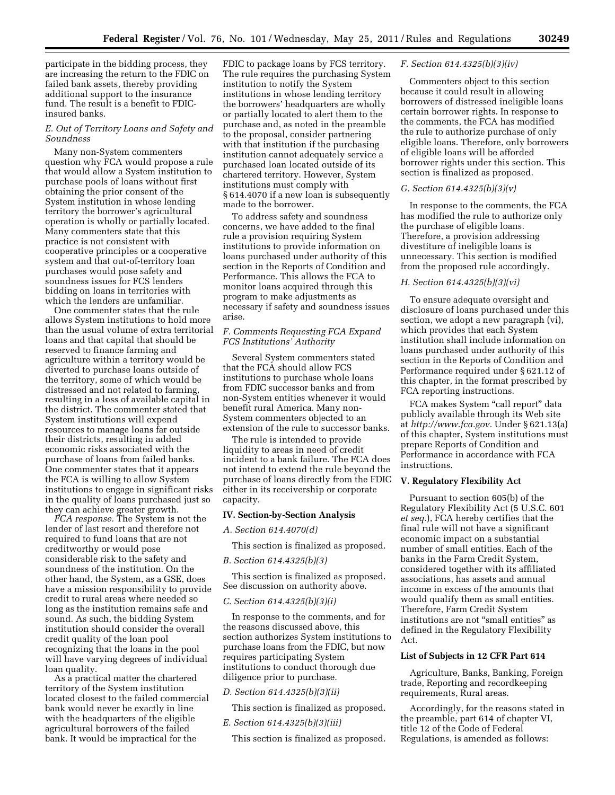participate in the bidding process, they are increasing the return to the FDIC on failed bank assets, thereby providing additional support to the insurance fund. The result is a benefit to FDICinsured banks.

#### *E. Out of Territory Loans and Safety and Soundness*

Many non-System commenters question why FCA would propose a rule that would allow a System institution to purchase pools of loans without first obtaining the prior consent of the System institution in whose lending territory the borrower's agricultural operation is wholly or partially located. Many commenters state that this practice is not consistent with cooperative principles or a cooperative system and that out-of-territory loan purchases would pose safety and soundness issues for FCS lenders bidding on loans in territories with which the lenders are unfamiliar.

One commenter states that the rule allows System institutions to hold more than the usual volume of extra territorial loans and that capital that should be reserved to finance farming and agriculture within a territory would be diverted to purchase loans outside of the territory, some of which would be distressed and not related to farming, resulting in a loss of available capital in the district. The commenter stated that System institutions will expend resources to manage loans far outside their districts, resulting in added economic risks associated with the purchase of loans from failed banks. One commenter states that it appears the FCA is willing to allow System institutions to engage in significant risks in the quality of loans purchased just so they can achieve greater growth.

*FCA response.* The System is not the lender of last resort and therefore not required to fund loans that are not creditworthy or would pose considerable risk to the safety and soundness of the institution. On the other hand, the System, as a GSE, does have a mission responsibility to provide credit to rural areas where needed so long as the institution remains safe and sound. As such, the bidding System institution should consider the overall credit quality of the loan pool recognizing that the loans in the pool will have varying degrees of individual loan quality.

As a practical matter the chartered territory of the System institution located closest to the failed commercial bank would never be exactly in line with the headquarters of the eligible agricultural borrowers of the failed bank. It would be impractical for the

FDIC to package loans by FCS territory. The rule requires the purchasing System institution to notify the System institutions in whose lending territory the borrowers' headquarters are wholly or partially located to alert them to the purchase and, as noted in the preamble to the proposal, consider partnering with that institution if the purchasing institution cannot adequately service a purchased loan located outside of its chartered territory. However, System institutions must comply with § 614.4070 if a new loan is subsequently made to the borrower.

To address safety and soundness concerns, we have added to the final rule a provision requiring System institutions to provide information on loans purchased under authority of this section in the Reports of Condition and Performance. This allows the FCA to monitor loans acquired through this program to make adjustments as necessary if safety and soundness issues arise.

### *F. Comments Requesting FCA Expand FCS Institutions' Authority*

Several System commenters stated that the FCA should allow FCS institutions to purchase whole loans from FDIC successor banks and from non-System entities whenever it would benefit rural America. Many non-System commenters objected to an extension of the rule to successor banks.

The rule is intended to provide liquidity to areas in need of credit incident to a bank failure. The FCA does not intend to extend the rule beyond the purchase of loans directly from the FDIC either in its receivership or corporate capacity.

#### **IV. Section-by-Section Analysis**

### *A. Section 614.4070(d)*

This section is finalized as proposed.

### *B. Section 614.4325(b)(3)*

This section is finalized as proposed. See discussion on authority above.

### *C. Section 614.4325(b)(3)(i)*

In response to the comments, and for the reasons discussed above, this section authorizes System institutions to purchase loans from the FDIC, but now requires participating System institutions to conduct thorough due diligence prior to purchase.

### *D. Section 614.4325(b)(3)(ii)*

This section is finalized as proposed.

#### *E. Section 614.4325(b)(3)(iii)*

This section is finalized as proposed.

#### *F. Section 614.4325(b)(3)(iv)*

Commenters object to this section because it could result in allowing borrowers of distressed ineligible loans certain borrower rights. In response to the comments, the FCA has modified the rule to authorize purchase of only eligible loans. Therefore, only borrowers of eligible loans will be afforded borrower rights under this section. This section is finalized as proposed.

#### *G. Section 614.4325(b)(3)(v)*

In response to the comments, the FCA has modified the rule to authorize only the purchase of eligible loans. Therefore, a provision addressing divestiture of ineligible loans is unnecessary. This section is modified from the proposed rule accordingly.

#### *H. Section 614.4325(b)(3)(vi)*

To ensure adequate oversight and disclosure of loans purchased under this section, we adopt a new paragraph (vi), which provides that each System institution shall include information on loans purchased under authority of this section in the Reports of Condition and Performance required under § 621.12 of this chapter, in the format prescribed by FCA reporting instructions.

FCA makes System "call report" data publicly available through its Web site at *[http://www.fca.gov.](http://www.fca.gov)* Under § 621.13(a) of this chapter, System institutions must prepare Reports of Condition and Performance in accordance with FCA instructions.

### **V. Regulatory Flexibility Act**

Pursuant to section 605(b) of the Regulatory Flexibility Act (5 U.S.C. 601 *et seq.*), FCA hereby certifies that the final rule will not have a significant economic impact on a substantial number of small entities. Each of the banks in the Farm Credit System, considered together with its affiliated associations, has assets and annual income in excess of the amounts that would qualify them as small entities. Therefore, Farm Credit System institutions are not ''small entities'' as defined in the Regulatory Flexibility Act.

### **List of Subjects in 12 CFR Part 614**

Agriculture, Banks, Banking, Foreign trade, Reporting and recordkeeping requirements, Rural areas.

Accordingly, for the reasons stated in the preamble, part 614 of chapter VI, title 12 of the Code of Federal Regulations, is amended as follows: